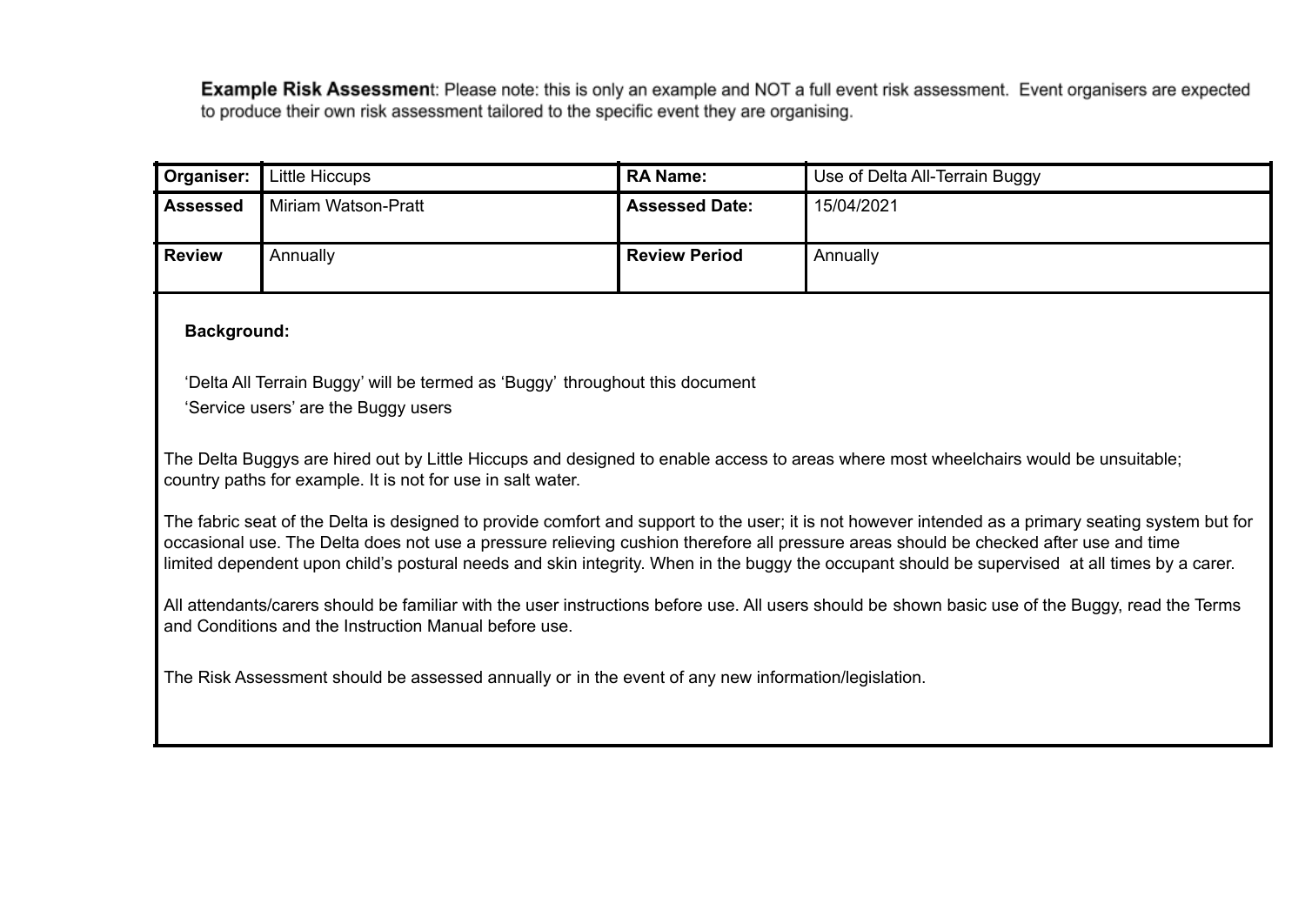**Example Risk Assessmen**t: Please note: this is only an example and NOT a full event risk assessment. Event organisers are expected to produce their own risk assessment tailored to the specific event they are organising.

| Organiser:                                                                                                                                                                                                                                                                                                                                                                                                                                     | Little Hiccups                                                                                                      | <b>RA Name:</b>       | Use of Delta All-Terrain Buggy                                                                                                      |  |  |  |  |
|------------------------------------------------------------------------------------------------------------------------------------------------------------------------------------------------------------------------------------------------------------------------------------------------------------------------------------------------------------------------------------------------------------------------------------------------|---------------------------------------------------------------------------------------------------------------------|-----------------------|-------------------------------------------------------------------------------------------------------------------------------------|--|--|--|--|
| <b>Assessed</b>                                                                                                                                                                                                                                                                                                                                                                                                                                | Miriam Watson-Pratt                                                                                                 | <b>Assessed Date:</b> | 15/04/2021                                                                                                                          |  |  |  |  |
| <b>Review</b>                                                                                                                                                                                                                                                                                                                                                                                                                                  | Annually                                                                                                            | <b>Review Period</b>  | Annually                                                                                                                            |  |  |  |  |
| <b>Background:</b>                                                                                                                                                                                                                                                                                                                                                                                                                             |                                                                                                                     |                       |                                                                                                                                     |  |  |  |  |
|                                                                                                                                                                                                                                                                                                                                                                                                                                                | 'Delta All Terrain Buggy' will be termed as 'Buggy' throughout this document<br>'Service users' are the Buggy users |                       |                                                                                                                                     |  |  |  |  |
|                                                                                                                                                                                                                                                                                                                                                                                                                                                | country paths for example. It is not for use in salt water.                                                         |                       | The Delta Buggys are hired out by Little Hiccups and designed to enable access to areas where most wheelchairs would be unsuitable; |  |  |  |  |
| The fabric seat of the Delta is designed to provide comfort and support to the user; it is not however intended as a primary seating system but for<br>occasional use. The Delta does not use a pressure relieving cushion therefore all pressure areas should be checked after use and time<br>limited dependent upon child's postural needs and skin integrity. When in the buggy the occupant should be supervised at all times by a carer. |                                                                                                                     |                       |                                                                                                                                     |  |  |  |  |
| All attendants/carers should be familiar with the user instructions before use. All users should be shown basic use of the Buggy, read the Terms<br>and Conditions and the Instruction Manual before use.                                                                                                                                                                                                                                      |                                                                                                                     |                       |                                                                                                                                     |  |  |  |  |
| The Risk Assessment should be assessed annually or in the event of any new information/legislation.                                                                                                                                                                                                                                                                                                                                            |                                                                                                                     |                       |                                                                                                                                     |  |  |  |  |
|                                                                                                                                                                                                                                                                                                                                                                                                                                                |                                                                                                                     |                       |                                                                                                                                     |  |  |  |  |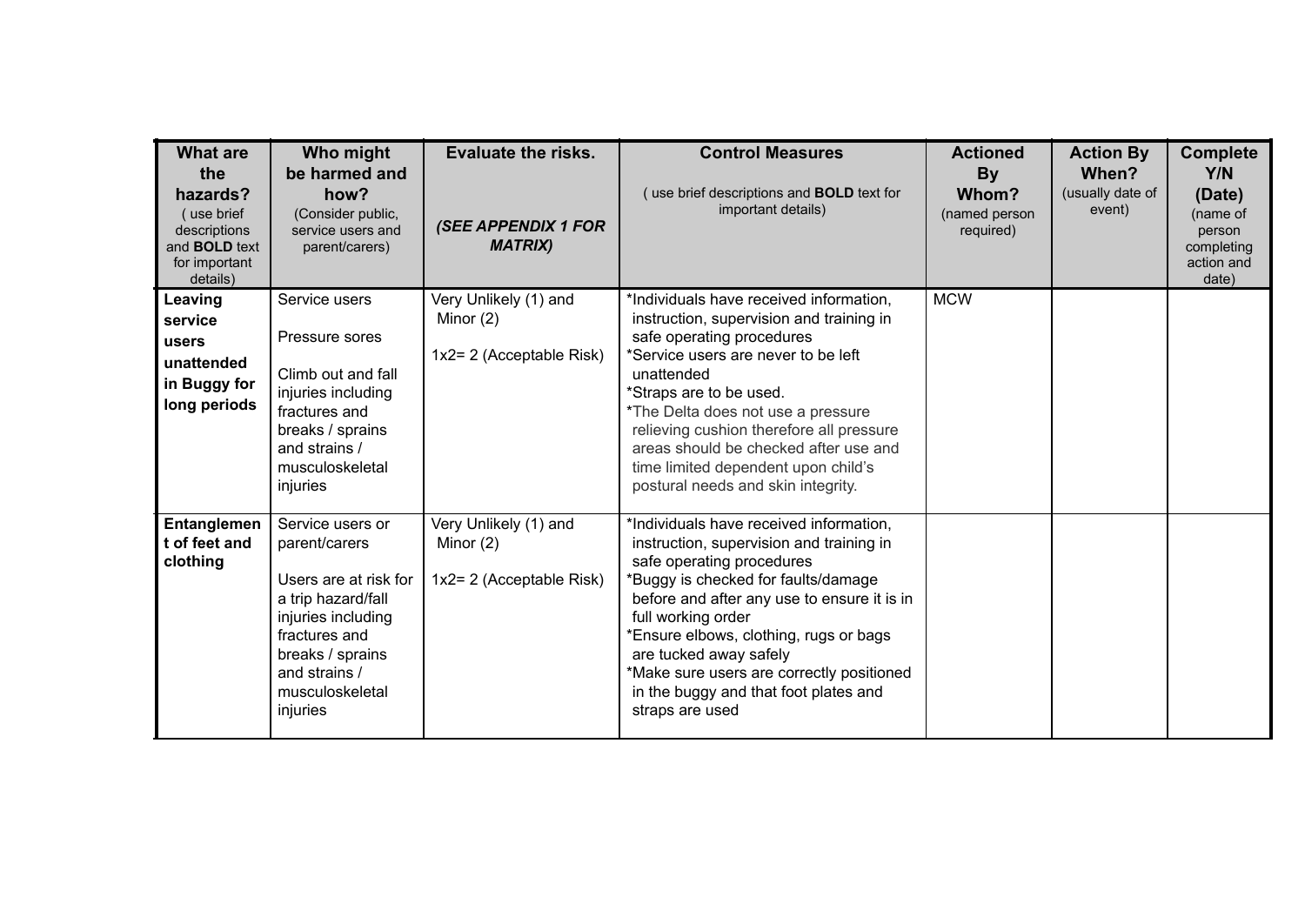| <b>What are</b><br>the<br>hazards?<br>(use brief<br>descriptions<br>and <b>BOLD</b> text<br>for important<br>details) | Who might<br>be harmed and<br>how?<br>(Consider public,<br>service users and<br>parent/carers)                                                                                              | <b>Evaluate the risks.</b><br><b>(SEE APPENDIX 1 FOR</b><br><b>MATRIX)</b> | <b>Control Measures</b><br>(use brief descriptions and BOLD text for<br>important details)                                                                                                                                                                                                                                                                                                                | <b>Actioned</b><br><b>By</b><br>Whom?<br>(named person<br>required) | <b>Action By</b><br>When?<br>(usually date of<br>event) | <b>Complete</b><br>Y/N<br>(Date)<br>(name of<br>person<br>completing<br>action and<br>date) |
|-----------------------------------------------------------------------------------------------------------------------|---------------------------------------------------------------------------------------------------------------------------------------------------------------------------------------------|----------------------------------------------------------------------------|-----------------------------------------------------------------------------------------------------------------------------------------------------------------------------------------------------------------------------------------------------------------------------------------------------------------------------------------------------------------------------------------------------------|---------------------------------------------------------------------|---------------------------------------------------------|---------------------------------------------------------------------------------------------|
| Leaving<br>service<br>users<br>unattended<br>in Buggy for<br>long periods                                             | Service users<br>Pressure sores<br>Climb out and fall<br>injuries including<br>fractures and<br>breaks / sprains<br>and strains /<br>musculoskeletal<br>injuries                            | Very Unlikely (1) and<br>Minor $(2)$<br>1x2= 2 (Acceptable Risk)           | *Individuals have received information,<br>instruction, supervision and training in<br>safe operating procedures<br>*Service users are never to be left<br>unattended<br>*Straps are to be used.<br>*The Delta does not use a pressure<br>relieving cushion therefore all pressure<br>areas should be checked after use and<br>time limited dependent upon child's<br>postural needs and skin integrity.  | <b>MCW</b>                                                          |                                                         |                                                                                             |
| Entanglemen<br>t of feet and<br>clothing                                                                              | Service users or<br>parent/carers<br>Users are at risk for<br>a trip hazard/fall<br>injuries including<br>fractures and<br>breaks / sprains<br>and strains /<br>musculoskeletal<br>injuries | Very Unlikely (1) and<br>Minor $(2)$<br>1x2= 2 (Acceptable Risk)           | *Individuals have received information,<br>instruction, supervision and training in<br>safe operating procedures<br>*Buggy is checked for faults/damage<br>before and after any use to ensure it is in<br>full working order<br>*Ensure elbows, clothing, rugs or bags<br>are tucked away safely<br>*Make sure users are correctly positioned<br>in the buggy and that foot plates and<br>straps are used |                                                                     |                                                         |                                                                                             |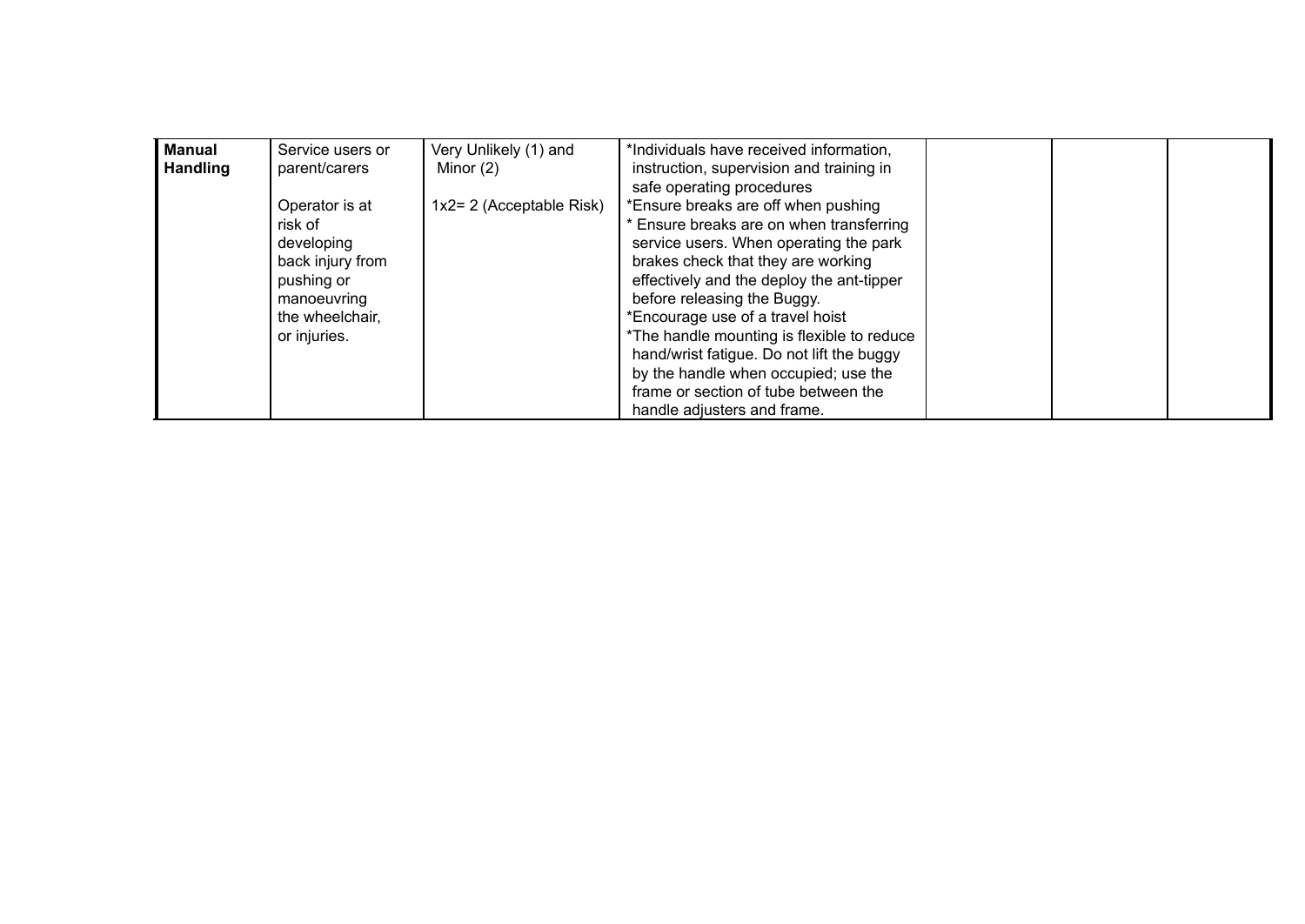| <b>Manual</b>   | Service users or | Very Unlikely (1) and    | *Individuals have received information,    |  |  |
|-----------------|------------------|--------------------------|--------------------------------------------|--|--|
| <b>Handling</b> | parent/carers    | Minor $(2)$              | instruction, supervision and training in   |  |  |
|                 |                  |                          | safe operating procedures                  |  |  |
|                 | Operator is at   | 1x2= 2 (Acceptable Risk) | *Ensure breaks are off when pushing        |  |  |
|                 | risk of          |                          | * Ensure breaks are on when transferring   |  |  |
|                 | developing       |                          | service users. When operating the park     |  |  |
|                 | back injury from |                          | brakes check that they are working         |  |  |
|                 | pushing or       |                          | effectively and the deploy the ant-tipper  |  |  |
|                 | manoeuvring      |                          | before releasing the Buggy.                |  |  |
|                 | the wheelchair,  |                          | *Encourage use of a travel hoist           |  |  |
|                 | or injuries.     |                          | *The handle mounting is flexible to reduce |  |  |
|                 |                  |                          | hand/wrist fatigue. Do not lift the buggy  |  |  |
|                 |                  |                          | by the handle when occupied; use the       |  |  |
|                 |                  |                          | frame or section of tube between the       |  |  |
|                 |                  |                          | handle adjusters and frame.                |  |  |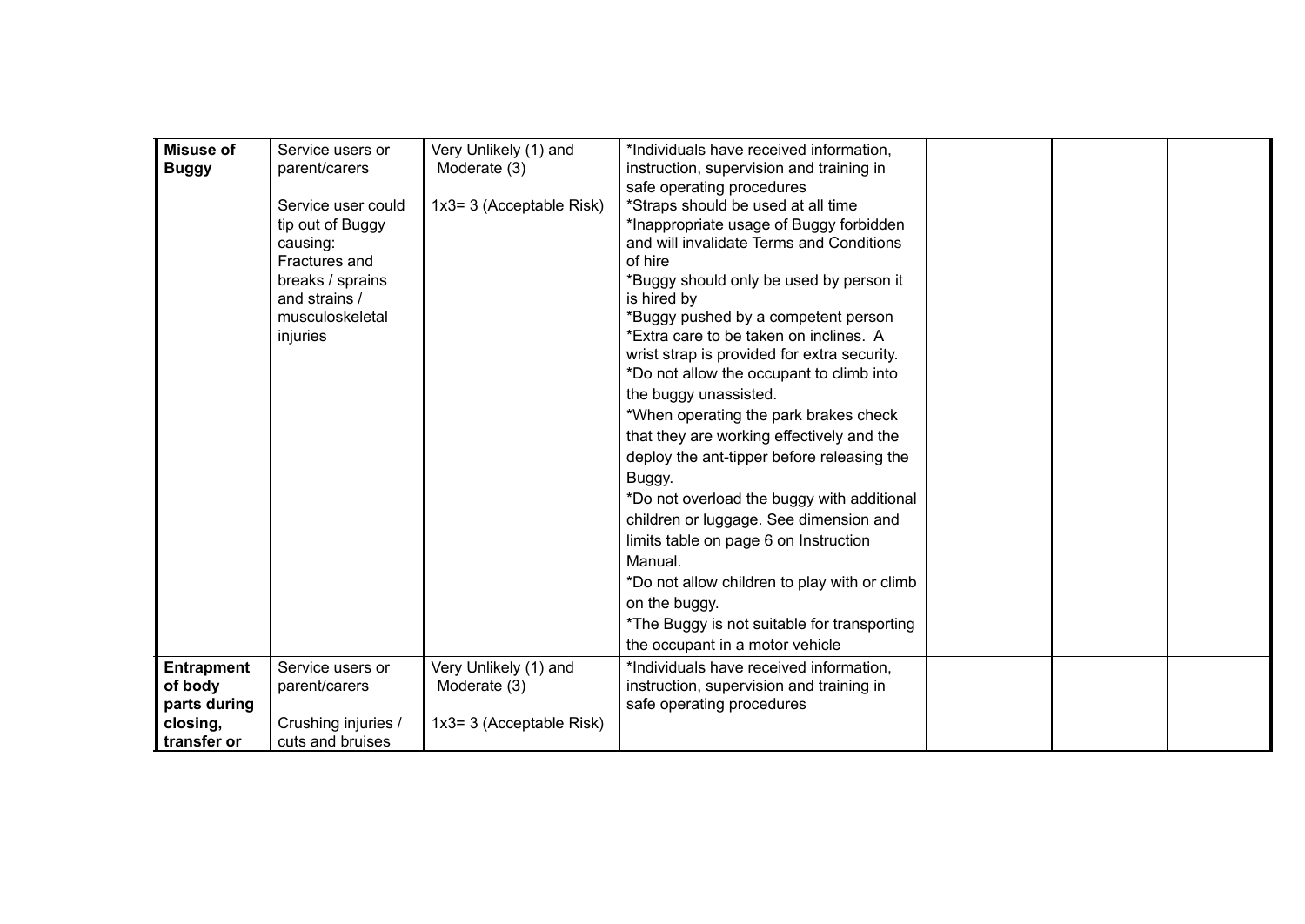| <b>Misuse of</b><br><b>Buggy</b>                                        | Service users or<br>parent/carers<br>Service user could<br>tip out of Buggy<br>causing:<br>Fractures and<br>breaks / sprains<br>and strains /<br>musculoskeletal<br>injuries | Very Unlikely (1) and<br>Moderate (3)<br>1x3= 3 (Acceptable Risk) | *Individuals have received information,<br>instruction, supervision and training in<br>safe operating procedures<br>*Straps should be used at all time<br>*Inappropriate usage of Buggy forbidden<br>and will invalidate Terms and Conditions<br>of hire<br>*Buggy should only be used by person it<br>is hired by<br>*Buggy pushed by a competent person<br>*Extra care to be taken on inclines. A<br>wrist strap is provided for extra security.<br>*Do not allow the occupant to climb into<br>the buggy unassisted.<br>*When operating the park brakes check<br>that they are working effectively and the<br>deploy the ant-tipper before releasing the<br>Buggy.<br>*Do not overload the buggy with additional<br>children or luggage. See dimension and<br>limits table on page 6 on Instruction<br>Manual. |  |  |
|-------------------------------------------------------------------------|------------------------------------------------------------------------------------------------------------------------------------------------------------------------------|-------------------------------------------------------------------|-------------------------------------------------------------------------------------------------------------------------------------------------------------------------------------------------------------------------------------------------------------------------------------------------------------------------------------------------------------------------------------------------------------------------------------------------------------------------------------------------------------------------------------------------------------------------------------------------------------------------------------------------------------------------------------------------------------------------------------------------------------------------------------------------------------------|--|--|
|                                                                         |                                                                                                                                                                              |                                                                   | *Do not allow children to play with or climb<br>on the buggy.<br>*The Buggy is not suitable for transporting<br>the occupant in a motor vehicle                                                                                                                                                                                                                                                                                                                                                                                                                                                                                                                                                                                                                                                                   |  |  |
| <b>Entrapment</b><br>of body<br>parts during<br>closing,<br>transfer or | Service users or<br>parent/carers<br>Crushing injuries /<br>cuts and bruises                                                                                                 | Very Unlikely (1) and<br>Moderate (3)<br>1x3= 3 (Acceptable Risk) | *Individuals have received information,<br>instruction, supervision and training in<br>safe operating procedures                                                                                                                                                                                                                                                                                                                                                                                                                                                                                                                                                                                                                                                                                                  |  |  |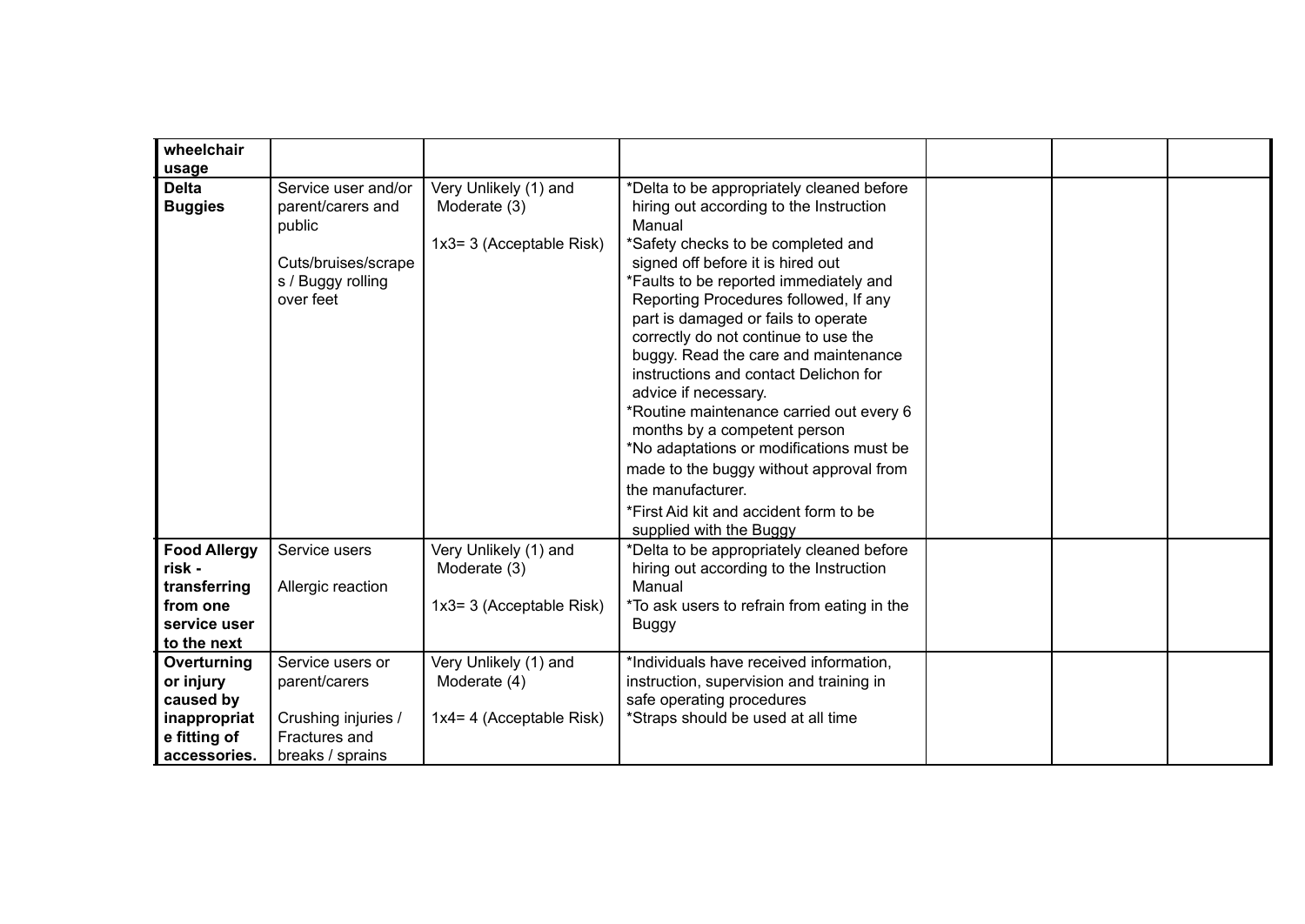| wheelchair                                                                               |                                                                                                             |                                                                   |                                                                                                                                                                                                                                                                                                                                                                                                                                                                                                                                                                                                                                                                                                                   |  |  |
|------------------------------------------------------------------------------------------|-------------------------------------------------------------------------------------------------------------|-------------------------------------------------------------------|-------------------------------------------------------------------------------------------------------------------------------------------------------------------------------------------------------------------------------------------------------------------------------------------------------------------------------------------------------------------------------------------------------------------------------------------------------------------------------------------------------------------------------------------------------------------------------------------------------------------------------------------------------------------------------------------------------------------|--|--|
| usage                                                                                    |                                                                                                             |                                                                   |                                                                                                                                                                                                                                                                                                                                                                                                                                                                                                                                                                                                                                                                                                                   |  |  |
| <b>Delta</b><br><b>Buggies</b>                                                           | Service user and/or<br>parent/carers and<br>public<br>Cuts/bruises/scrape<br>s / Buggy rolling<br>over feet | Very Unlikely (1) and<br>Moderate (3)<br>1x3= 3 (Acceptable Risk) | *Delta to be appropriately cleaned before<br>hiring out according to the Instruction<br>Manual<br>*Safety checks to be completed and<br>signed off before it is hired out<br>*Faults to be reported immediately and<br>Reporting Procedures followed, If any<br>part is damaged or fails to operate<br>correctly do not continue to use the<br>buggy. Read the care and maintenance<br>instructions and contact Delichon for<br>advice if necessary.<br>*Routine maintenance carried out every 6<br>months by a competent person<br>*No adaptations or modifications must be<br>made to the buggy without approval from<br>the manufacturer.<br>*First Aid kit and accident form to be<br>supplied with the Buggy |  |  |
| <b>Food Allergy</b><br>risk -<br>transferring<br>from one<br>service user<br>to the next | Service users<br>Allergic reaction                                                                          | Very Unlikely (1) and<br>Moderate (3)<br>1x3= 3 (Acceptable Risk) | *Delta to be appropriately cleaned before<br>hiring out according to the Instruction<br>Manual<br>*To ask users to refrain from eating in the<br><b>Buggy</b>                                                                                                                                                                                                                                                                                                                                                                                                                                                                                                                                                     |  |  |
| Overturning<br>or injury<br>caused by<br>inappropriat<br>e fitting of<br>accessories.    | Service users or<br>parent/carers<br>Crushing injuries /<br>Fractures and<br>breaks / sprains               | Very Unlikely (1) and<br>Moderate (4)<br>1x4= 4 (Acceptable Risk) | *Individuals have received information,<br>instruction, supervision and training in<br>safe operating procedures<br>*Straps should be used at all time                                                                                                                                                                                                                                                                                                                                                                                                                                                                                                                                                            |  |  |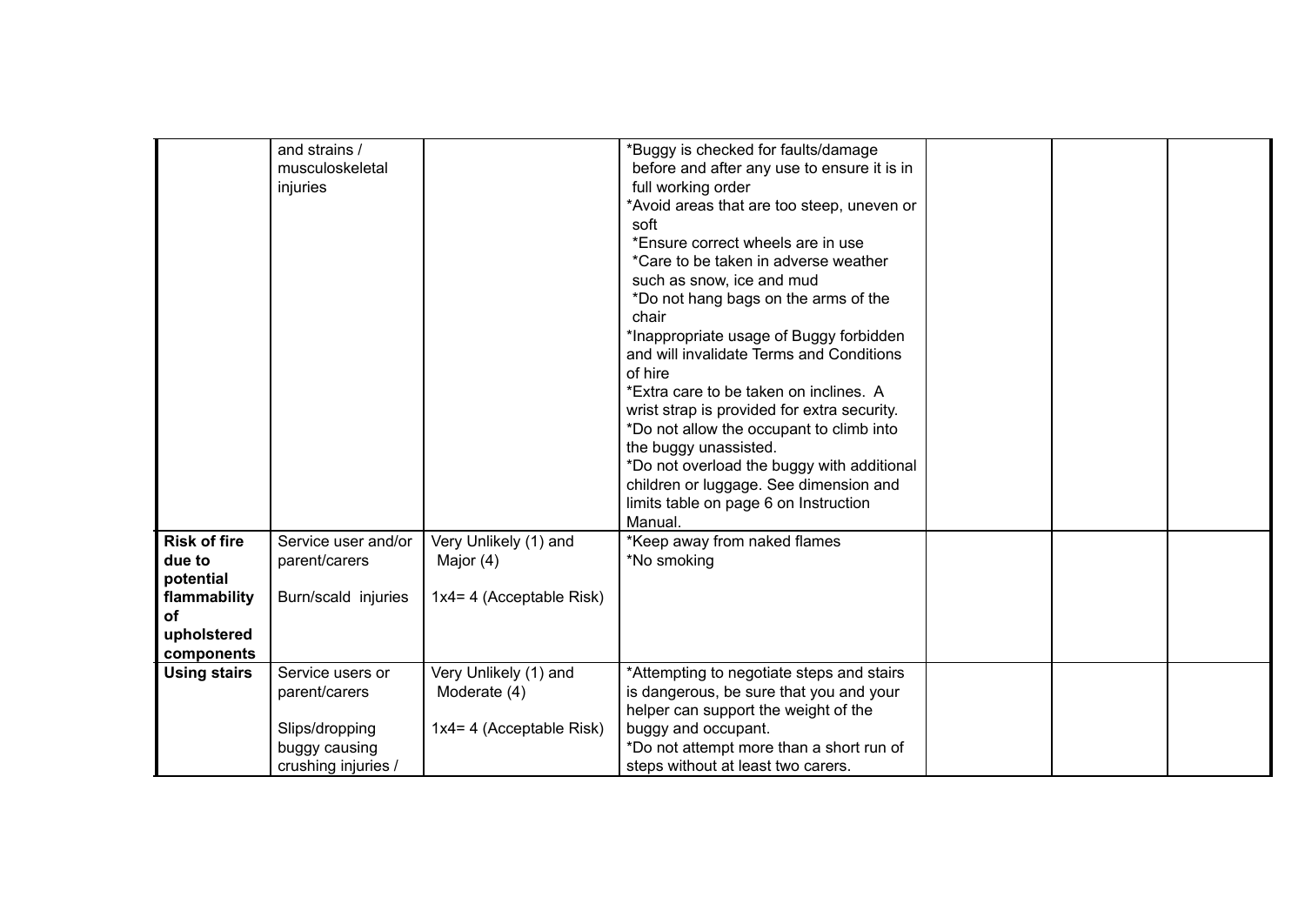|                                                                                                      | and strains /<br>musculoskeletal<br>injuries                                                |                                                                   | *Buggy is checked for faults/damage<br>before and after any use to ensure it is in<br>full working order<br>*Avoid areas that are too steep, uneven or<br>soft<br>*Ensure correct wheels are in use<br>*Care to be taken in adverse weather<br>such as snow, ice and mud<br>*Do not hang bags on the arms of the<br>chair<br>*Inappropriate usage of Buggy forbidden<br>and will invalidate Terms and Conditions<br>of hire<br>*Extra care to be taken on inclines. A<br>wrist strap is provided for extra security.<br>*Do not allow the occupant to climb into<br>the buggy unassisted.<br>*Do not overload the buggy with additional<br>children or luggage. See dimension and<br>limits table on page 6 on Instruction<br>Manual. |  |  |
|------------------------------------------------------------------------------------------------------|---------------------------------------------------------------------------------------------|-------------------------------------------------------------------|---------------------------------------------------------------------------------------------------------------------------------------------------------------------------------------------------------------------------------------------------------------------------------------------------------------------------------------------------------------------------------------------------------------------------------------------------------------------------------------------------------------------------------------------------------------------------------------------------------------------------------------------------------------------------------------------------------------------------------------|--|--|
| <b>Risk of fire</b><br>due to<br>potential<br>flammability<br><b>of</b><br>upholstered<br>components | Service user and/or<br>parent/carers<br>Burn/scald injuries                                 | Very Unlikely (1) and<br>Major (4)<br>1x4= 4 (Acceptable Risk)    | *Keep away from naked flames<br>*No smoking                                                                                                                                                                                                                                                                                                                                                                                                                                                                                                                                                                                                                                                                                           |  |  |
| <b>Using stairs</b>                                                                                  | Service users or<br>parent/carers<br>Slips/dropping<br>buggy causing<br>crushing injuries / | Very Unlikely (1) and<br>Moderate (4)<br>1x4= 4 (Acceptable Risk) | *Attempting to negotiate steps and stairs<br>is dangerous, be sure that you and your<br>helper can support the weight of the<br>buggy and occupant.<br>*Do not attempt more than a short run of<br>steps without at least two carers.                                                                                                                                                                                                                                                                                                                                                                                                                                                                                                 |  |  |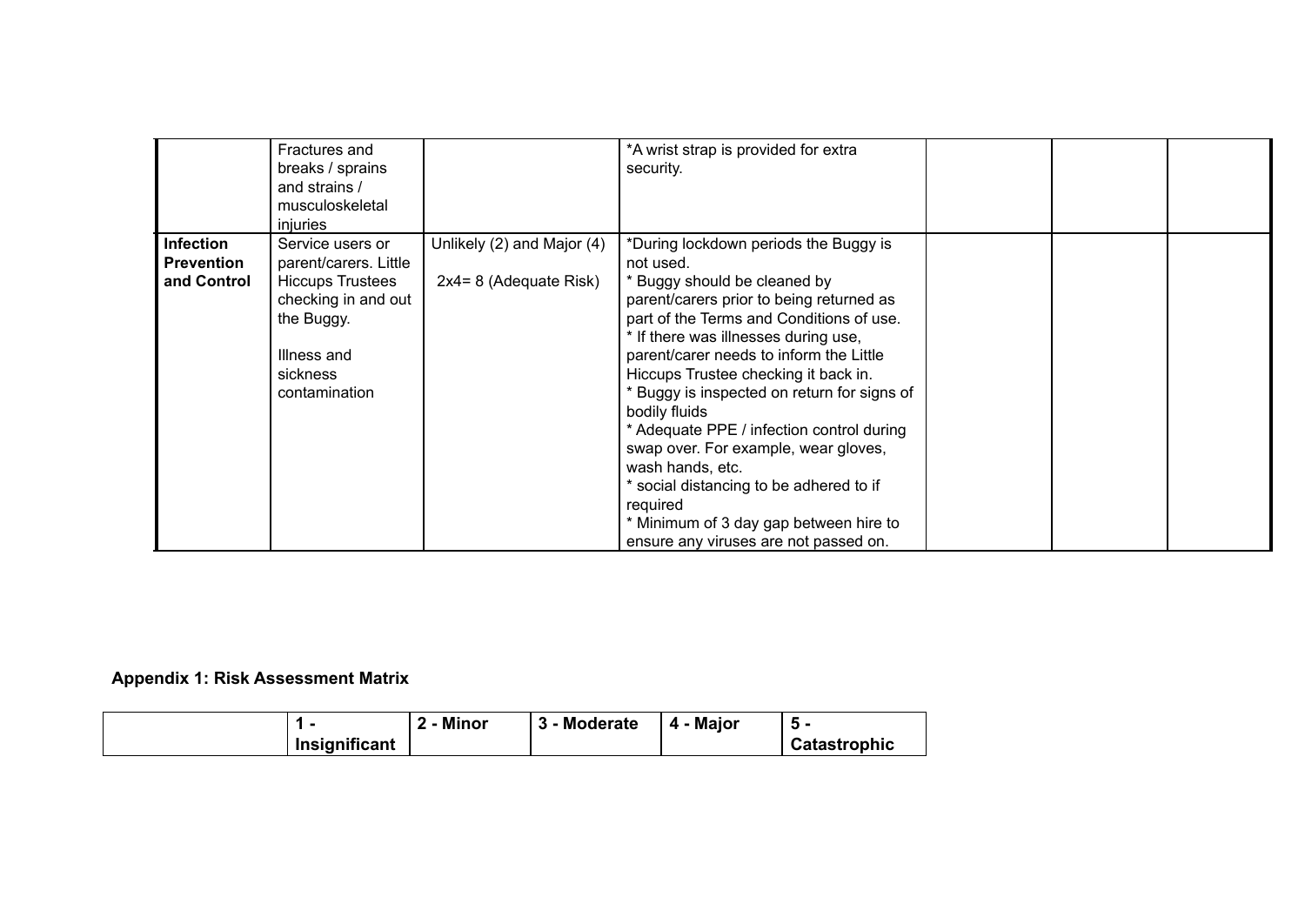|                                                      | Fractures and<br>breaks / sprains<br>and strains /<br>musculoskeletal<br>injuries                                                                     |                                                      | *A wrist strap is provided for extra<br>security.                                                                                                                                                                                                                                                                                                                                                                                                                                                                                                                                                                      |  |  |
|------------------------------------------------------|-------------------------------------------------------------------------------------------------------------------------------------------------------|------------------------------------------------------|------------------------------------------------------------------------------------------------------------------------------------------------------------------------------------------------------------------------------------------------------------------------------------------------------------------------------------------------------------------------------------------------------------------------------------------------------------------------------------------------------------------------------------------------------------------------------------------------------------------------|--|--|
| <b>Infection</b><br><b>Prevention</b><br>and Control | Service users or<br>parent/carers. Little<br><b>Hiccups Trustees</b><br>checking in and out<br>the Buggy.<br>Illness and<br>sickness<br>contamination | Unlikely (2) and Major (4)<br>2x4= 8 (Adequate Risk) | *During lockdown periods the Buggy is<br>not used.<br>* Buggy should be cleaned by<br>parent/carers prior to being returned as<br>part of the Terms and Conditions of use.<br>* If there was illnesses during use,<br>parent/carer needs to inform the Little<br>Hiccups Trustee checking it back in.<br>Buggy is inspected on return for signs of<br>bodily fluids<br>* Adequate PPE / infection control during<br>swap over. For example, wear gloves,<br>wash hands, etc.<br>* social distancing to be adhered to if<br>required<br>* Minimum of 3 day gap between hire to<br>ensure any viruses are not passed on. |  |  |

## **Appendix 1: Risk Assessment Matrix**

|               | Minor<br>. L | <b>Moderate</b> | 4 - Major |                     |
|---------------|--------------|-----------------|-----------|---------------------|
| Insignificant |              |                 |           | <b>Catastrophic</b> |